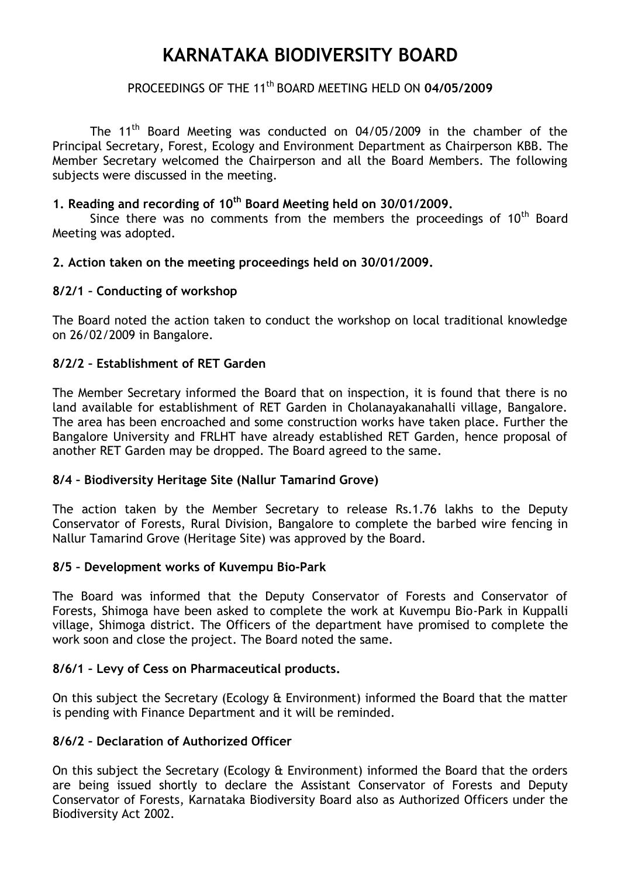# **KARNATAKA BIODIVERSITY BOARD**

# PROCEEDINGS OF THE 11th BOARD MEETING HELD ON **04/05/2009**

The 11<sup>th</sup> Board Meeting was conducted on 04/05/2009 in the chamber of the Principal Secretary, Forest, Ecology and Environment Department as Chairperson KBB. The Member Secretary welcomed the Chairperson and all the Board Members. The following subjects were discussed in the meeting.

## **1. Reading and recording of 10th Board Meeting held on 30/01/2009.**

Since there was no comments from the members the proceedings of  $10<sup>th</sup>$  Board Meeting was adopted.

#### **2. Action taken on the meeting proceedings held on 30/01/2009.**

#### **8/2/1 – Conducting of workshop**

The Board noted the action taken to conduct the workshop on local traditional knowledge on 26/02/2009 in Bangalore.

#### **8/2/2 – Establishment of RET Garden**

The Member Secretary informed the Board that on inspection, it is found that there is no land available for establishment of RET Garden in Cholanayakanahalli village, Bangalore. The area has been encroached and some construction works have taken place. Further the Bangalore University and FRLHT have already established RET Garden, hence proposal of another RET Garden may be dropped. The Board agreed to the same.

#### **8/4 – Biodiversity Heritage Site (Nallur Tamarind Grove)**

The action taken by the Member Secretary to release Rs.1.76 lakhs to the Deputy Conservator of Forests, Rural Division, Bangalore to complete the barbed wire fencing in Nallur Tamarind Grove (Heritage Site) was approved by the Board.

#### **8/5 – Development works of Kuvempu Bio-Park**

The Board was informed that the Deputy Conservator of Forests and Conservator of Forests, Shimoga have been asked to complete the work at Kuvempu Bio-Park in Kuppalli village, Shimoga district. The Officers of the department have promised to complete the work soon and close the project. The Board noted the same.

# **8/6/1 – Levy of Cess on Pharmaceutical products.**

On this subject the Secretary (Ecology & Environment) informed the Board that the matter is pending with Finance Department and it will be reminded.

#### **8/6/2 – Declaration of Authorized Officer**

On this subject the Secretary (Ecology & Environment) informed the Board that the orders are being issued shortly to declare the Assistant Conservator of Forests and Deputy Conservator of Forests, Karnataka Biodiversity Board also as Authorized Officers under the Biodiversity Act 2002.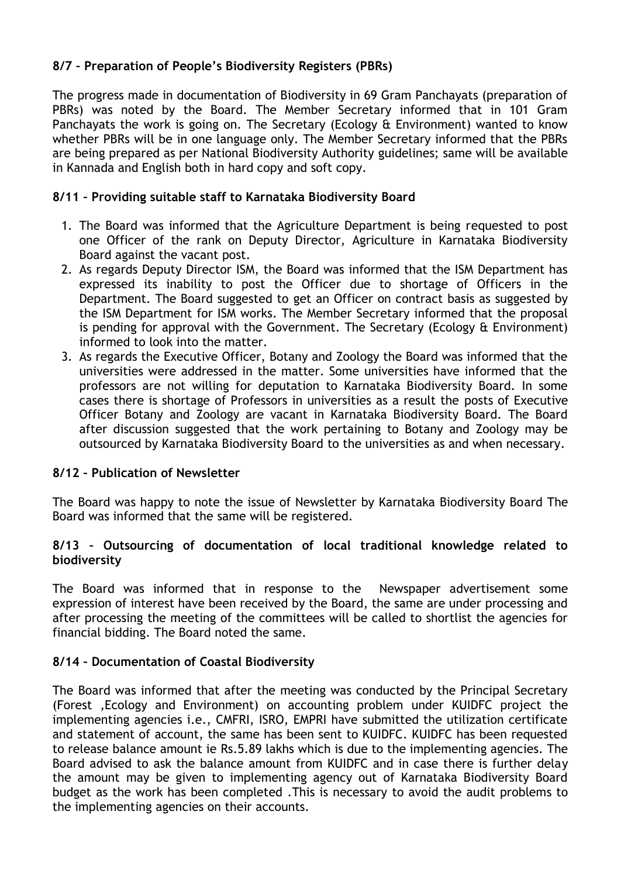# **8/7 – Preparation of People's Biodiversity Registers (PBRs)**

The progress made in documentation of Biodiversity in 69 Gram Panchayats (preparation of PBRs) was noted by the Board. The Member Secretary informed that in 101 Gram Panchayats the work is going on. The Secretary (Ecology & Environment) wanted to know whether PBRs will be in one language only. The Member Secretary informed that the PBRs are being prepared as per National Biodiversity Authority guidelines; same will be available in Kannada and English both in hard copy and soft copy.

## **8/11 – Providing suitable staff to Karnataka Biodiversity Board**

- 1. The Board was informed that the Agriculture Department is being requested to post one Officer of the rank on Deputy Director, Agriculture in Karnataka Biodiversity Board against the vacant post.
- 2. As regards Deputy Director ISM, the Board was informed that the ISM Department has expressed its inability to post the Officer due to shortage of Officers in the Department. The Board suggested to get an Officer on contract basis as suggested by the ISM Department for ISM works. The Member Secretary informed that the proposal is pending for approval with the Government. The Secretary (Ecology & Environment) informed to look into the matter.
- 3. As regards the Executive Officer, Botany and Zoology the Board was informed that the universities were addressed in the matter. Some universities have informed that the professors are not willing for deputation to Karnataka Biodiversity Board. In some cases there is shortage of Professors in universities as a result the posts of Executive Officer Botany and Zoology are vacant in Karnataka Biodiversity Board. The Board after discussion suggested that the work pertaining to Botany and Zoology may be outsourced by Karnataka Biodiversity Board to the universities as and when necessary.

#### **8/12 – Publication of Newsletter**

The Board was happy to note the issue of Newsletter by Karnataka Biodiversity Board The Board was informed that the same will be registered.

#### **8/13 – Outsourcing of documentation of local traditional knowledge related to biodiversity**

The Board was informed that in response to the Newspaper advertisement some expression of interest have been received by the Board, the same are under processing and after processing the meeting of the committees will be called to shortlist the agencies for financial bidding. The Board noted the same.

#### **8/14 – Documentation of Coastal Biodiversity**

The Board was informed that after the meeting was conducted by the Principal Secretary (Forest ,Ecology and Environment) on accounting problem under KUIDFC project the implementing agencies i.e., CMFRI, ISRO, EMPRI have submitted the utilization certificate and statement of account, the same has been sent to KUIDFC. KUIDFC has been requested to release balance amount ie Rs.5.89 lakhs which is due to the implementing agencies. The Board advised to ask the balance amount from KUIDFC and in case there is further delay the amount may be given to implementing agency out of Karnataka Biodiversity Board budget as the work has been completed .This is necessary to avoid the audit problems to the implementing agencies on their accounts.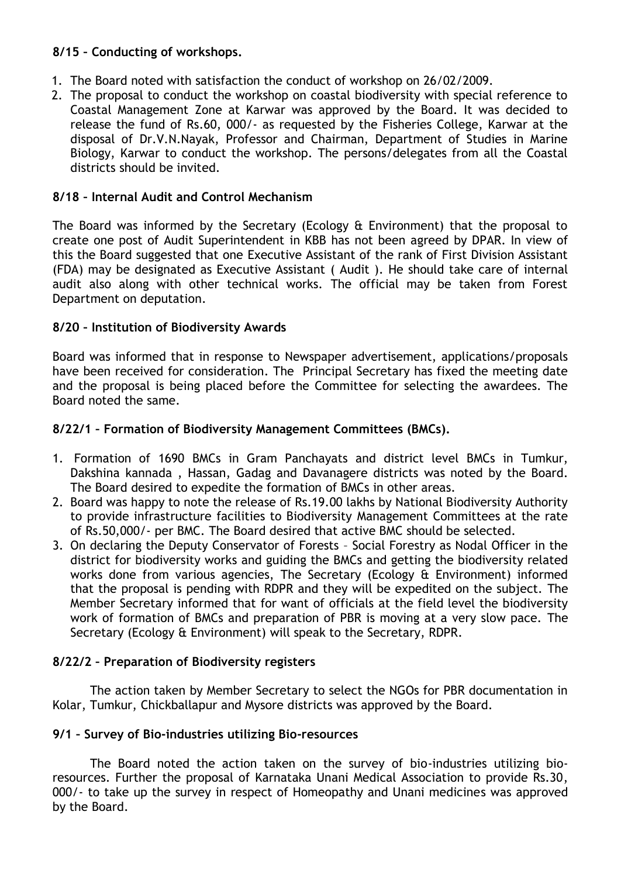# **8/15 – Conducting of workshops.**

- 1. The Board noted with satisfaction the conduct of workshop on 26/02/2009.
- 2. The proposal to conduct the workshop on coastal biodiversity with special reference to Coastal Management Zone at Karwar was approved by the Board. It was decided to release the fund of Rs.60, 000/- as requested by the Fisheries College, Karwar at the disposal of Dr.V.N.Nayak, Professor and Chairman, Department of Studies in Marine Biology, Karwar to conduct the workshop. The persons/delegates from all the Coastal districts should be invited.

# **8/18 – Internal Audit and Control Mechanism**

The Board was informed by the Secretary (Ecology & Environment) that the proposal to create one post of Audit Superintendent in KBB has not been agreed by DPAR. In view of this the Board suggested that one Executive Assistant of the rank of First Division Assistant (FDA) may be designated as Executive Assistant ( Audit ). He should take care of internal audit also along with other technical works. The official may be taken from Forest Department on deputation.

# **8/20 – Institution of Biodiversity Awards**

Board was informed that in response to Newspaper advertisement, applications/proposals have been received for consideration. The Principal Secretary has fixed the meeting date and the proposal is being placed before the Committee for selecting the awardees. The Board noted the same.

# **8/22/1 – Formation of Biodiversity Management Committees (BMCs).**

- 1. Formation of 1690 BMCs in Gram Panchayats and district level BMCs in Tumkur, Dakshina kannada , Hassan, Gadag and Davanagere districts was noted by the Board. The Board desired to expedite the formation of BMCs in other areas.
- 2. Board was happy to note the release of Rs.19.00 lakhs by National Biodiversity Authority to provide infrastructure facilities to Biodiversity Management Committees at the rate of Rs.50,000/- per BMC. The Board desired that active BMC should be selected.
- 3. On declaring the Deputy Conservator of Forests Social Forestry as Nodal Officer in the district for biodiversity works and guiding the BMCs and getting the biodiversity related works done from various agencies, The Secretary (Ecology & Environment) informed that the proposal is pending with RDPR and they will be expedited on the subject. The Member Secretary informed that for want of officials at the field level the biodiversity work of formation of BMCs and preparation of PBR is moving at a very slow pace. The Secretary (Ecology & Environment) will speak to the Secretary, RDPR.

# **8/22/2 – Preparation of Biodiversity registers**

The action taken by Member Secretary to select the NGOs for PBR documentation in Kolar, Tumkur, Chickballapur and Mysore districts was approved by the Board.

# **9/1 – Survey of Bio-industries utilizing Bio-resources**

The Board noted the action taken on the survey of bio-industries utilizing bioresources. Further the proposal of Karnataka Unani Medical Association to provide Rs.30, 000/- to take up the survey in respect of Homeopathy and Unani medicines was approved by the Board.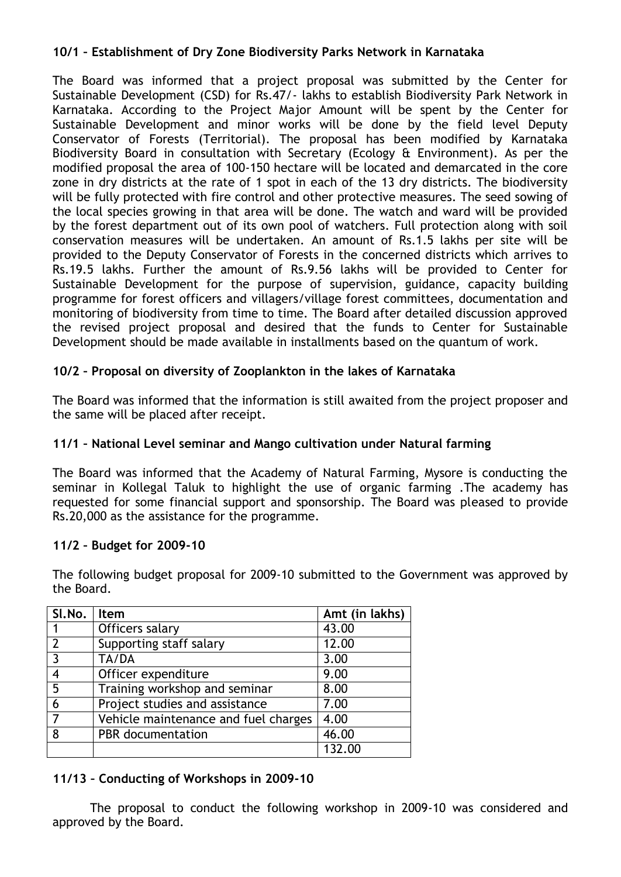## **10/1 – Establishment of Dry Zone Biodiversity Parks Network in Karnataka**

The Board was informed that a project proposal was submitted by the Center for Sustainable Development (CSD) for Rs.47/- lakhs to establish Biodiversity Park Network in Karnataka. According to the Project Major Amount will be spent by the Center for Sustainable Development and minor works will be done by the field level Deputy Conservator of Forests (Territorial). The proposal has been modified by Karnataka Biodiversity Board in consultation with Secretary (Ecology & Environment). As per the modified proposal the area of 100-150 hectare will be located and demarcated in the core zone in dry districts at the rate of 1 spot in each of the 13 dry districts. The biodiversity will be fully protected with fire control and other protective measures. The seed sowing of the local species growing in that area will be done. The watch and ward will be provided by the forest department out of its own pool of watchers. Full protection along with soil conservation measures will be undertaken. An amount of Rs.1.5 lakhs per site will be provided to the Deputy Conservator of Forests in the concerned districts which arrives to Rs.19.5 lakhs. Further the amount of Rs.9.56 lakhs will be provided to Center for Sustainable Development for the purpose of supervision, guidance, capacity building programme for forest officers and villagers/village forest committees, documentation and monitoring of biodiversity from time to time. The Board after detailed discussion approved the revised project proposal and desired that the funds to Center for Sustainable Development should be made available in installments based on the quantum of work.

# **10/2 – Proposal on diversity of Zooplankton in the lakes of Karnataka**

The Board was informed that the information is still awaited from the project proposer and the same will be placed after receipt.

## **11/1 – National Level seminar and Mango cultivation under Natural farming**

The Board was informed that the Academy of Natural Farming, Mysore is conducting the seminar in Kollegal Taluk to highlight the use of organic farming .The academy has requested for some financial support and sponsorship. The Board was pleased to provide Rs.20,000 as the assistance for the programme.

#### **11/2 – Budget for 2009-10**

The following budget proposal for 2009-10 submitted to the Government was approved by the Board.

| SI.No. | <b>Item</b>                          | Amt (in lakhs) |
|--------|--------------------------------------|----------------|
|        | Officers salary                      | 43.00          |
|        | Supporting staff salary              | 12.00          |
| 3      | TA/DA                                | 3.00           |
|        | Officer expenditure                  | 9.00           |
| 5      | Training workshop and seminar        | 8.00           |
| 6      | Project studies and assistance       | 7.00           |
|        | Vehicle maintenance and fuel charges | 4.00           |
| 8      | PBR documentation                    | 46.00          |
|        |                                      | 132.00         |

# **11/13 – Conducting of Workshops in 2009-10**

The proposal to conduct the following workshop in 2009-10 was considered and approved by the Board.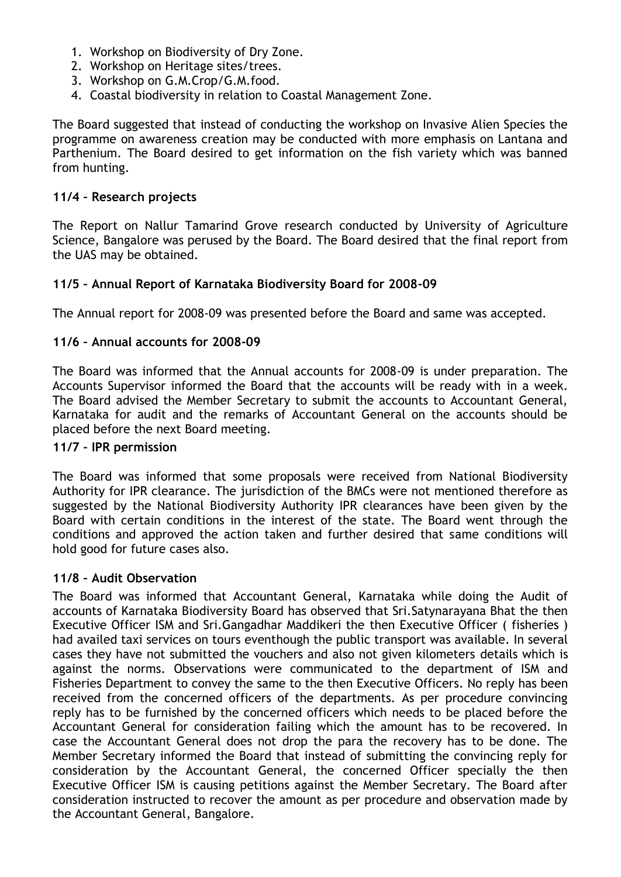- 1. Workshop on Biodiversity of Dry Zone.
- 2. Workshop on Heritage sites/trees.
- 3. Workshop on G.M.Crop/G.M.food.
- 4. Coastal biodiversity in relation to Coastal Management Zone.

The Board suggested that instead of conducting the workshop on Invasive Alien Species the programme on awareness creation may be conducted with more emphasis on Lantana and Parthenium. The Board desired to get information on the fish variety which was banned from hunting.

#### **11/4 – Research projects**

The Report on Nallur Tamarind Grove research conducted by University of Agriculture Science, Bangalore was perused by the Board. The Board desired that the final report from the UAS may be obtained.

#### **11/5 – Annual Report of Karnataka Biodiversity Board for 2008-09**

The Annual report for 2008-09 was presented before the Board and same was accepted.

#### **11/6 – Annual accounts for 2008-09**

The Board was informed that the Annual accounts for 2008-09 is under preparation. The Accounts Supervisor informed the Board that the accounts will be ready with in a week. The Board advised the Member Secretary to submit the accounts to Accountant General, Karnataka for audit and the remarks of Accountant General on the accounts should be placed before the next Board meeting.

#### **11/7 – IPR permission**

The Board was informed that some proposals were received from National Biodiversity Authority for IPR clearance. The jurisdiction of the BMCs were not mentioned therefore as suggested by the National Biodiversity Authority IPR clearances have been given by the Board with certain conditions in the interest of the state. The Board went through the conditions and approved the action taken and further desired that same conditions will hold good for future cases also.

#### **11/8 – Audit Observation**

The Board was informed that Accountant General, Karnataka while doing the Audit of accounts of Karnataka Biodiversity Board has observed that Sri.Satynarayana Bhat the then Executive Officer ISM and Sri.Gangadhar Maddikeri the then Executive Officer ( fisheries ) had availed taxi services on tours eventhough the public transport was available. In several cases they have not submitted the vouchers and also not given kilometers details which is against the norms. Observations were communicated to the department of ISM and Fisheries Department to convey the same to the then Executive Officers. No reply has been received from the concerned officers of the departments. As per procedure convincing reply has to be furnished by the concerned officers which needs to be placed before the Accountant General for consideration failing which the amount has to be recovered. In case the Accountant General does not drop the para the recovery has to be done. The Member Secretary informed the Board that instead of submitting the convincing reply for consideration by the Accountant General, the concerned Officer specially the then Executive Officer ISM is causing petitions against the Member Secretary. The Board after consideration instructed to recover the amount as per procedure and observation made by the Accountant General, Bangalore.